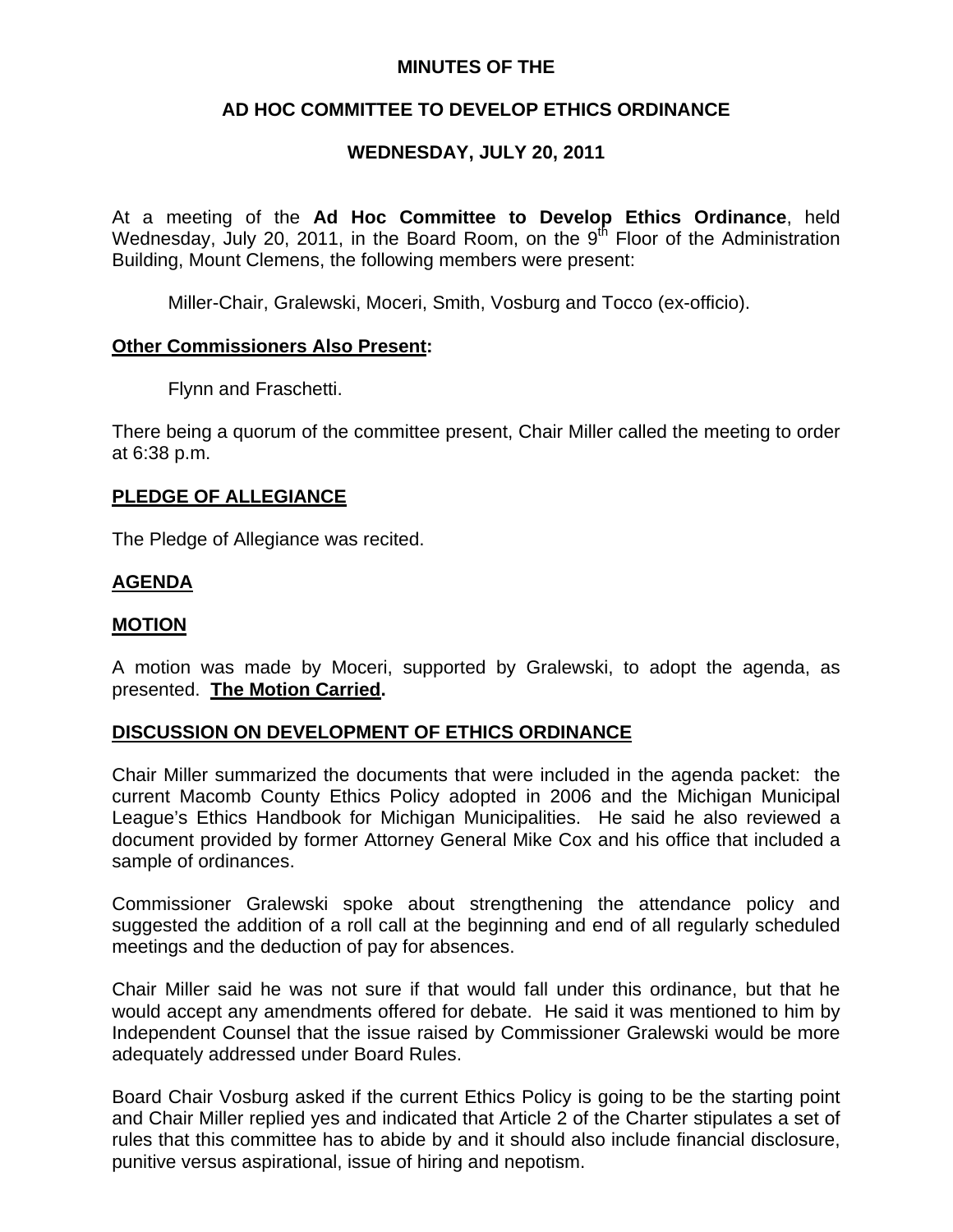#### **MINUTES OF THE**

## **AD HOC COMMITTEE TO DEVELOP ETHICS ORDINANCE**

## **WEDNESDAY, JULY 20, 2011**

At a meeting of the **Ad Hoc Committee to Develop Ethics Ordinance**, held Wednesday, July 20, 2011, in the Board Room, on the  $9<sup>th</sup>$  Floor of the Administration Building, Mount Clemens, the following members were present:

Miller-Chair, Gralewski, Moceri, Smith, Vosburg and Tocco (ex-officio).

#### **Other Commissioners Also Present:**

Flynn and Fraschetti.

There being a quorum of the committee present, Chair Miller called the meeting to order at 6:38 p.m.

#### **PLEDGE OF ALLEGIANCE**

The Pledge of Allegiance was recited.

### **AGENDA**

#### **MOTION**

A motion was made by Moceri, supported by Gralewski, to adopt the agenda, as presented. **The Motion Carried.** 

### **DISCUSSION ON DEVELOPMENT OF ETHICS ORDINANCE**

Chair Miller summarized the documents that were included in the agenda packet: the current Macomb County Ethics Policy adopted in 2006 and the Michigan Municipal League's Ethics Handbook for Michigan Municipalities. He said he also reviewed a document provided by former Attorney General Mike Cox and his office that included a sample of ordinances.

Commissioner Gralewski spoke about strengthening the attendance policy and suggested the addition of a roll call at the beginning and end of all regularly scheduled meetings and the deduction of pay for absences.

Chair Miller said he was not sure if that would fall under this ordinance, but that he would accept any amendments offered for debate. He said it was mentioned to him by Independent Counsel that the issue raised by Commissioner Gralewski would be more adequately addressed under Board Rules.

Board Chair Vosburg asked if the current Ethics Policy is going to be the starting point and Chair Miller replied yes and indicated that Article 2 of the Charter stipulates a set of rules that this committee has to abide by and it should also include financial disclosure, punitive versus aspirational, issue of hiring and nepotism.